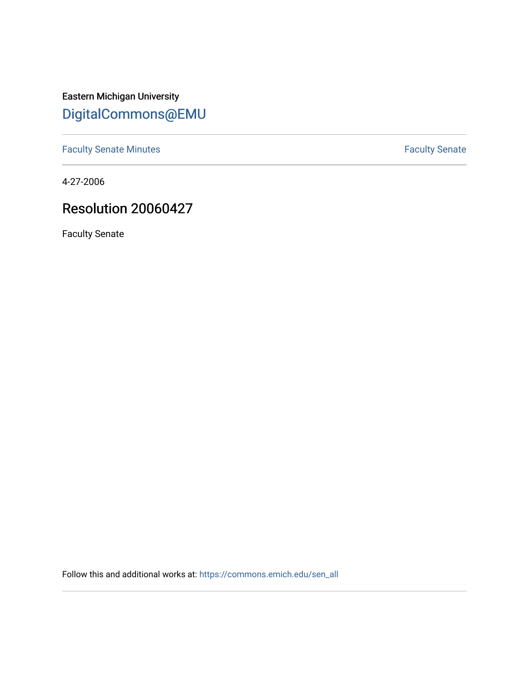Eastern Michigan University [DigitalCommons@EMU](https://commons.emich.edu/) 

[Faculty Senate Minutes](https://commons.emich.edu/sen_all) **Faculty** Senate Minutes

4-27-2006

## Resolution 20060427

Faculty Senate

Follow this and additional works at: [https://commons.emich.edu/sen\\_all](https://commons.emich.edu/sen_all?utm_source=commons.emich.edu%2Fsen_all%2F187&utm_medium=PDF&utm_campaign=PDFCoverPages)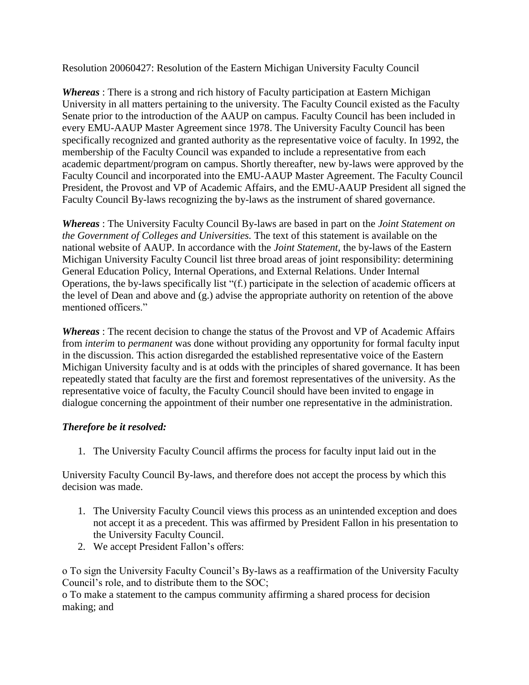Resolution 20060427: Resolution of the Eastern Michigan University Faculty Council

*Whereas* : There is a strong and rich history of Faculty participation at Eastern Michigan University in all matters pertaining to the university. The Faculty Council existed as the Faculty Senate prior to the introduction of the AAUP on campus. Faculty Council has been included in every EMU-AAUP Master Agreement since 1978. The University Faculty Council has been specifically recognized and granted authority as the representative voice of faculty. In 1992, the membership of the Faculty Council was expanded to include a representative from each academic department/program on campus. Shortly thereafter, new by-laws were approved by the Faculty Council and incorporated into the EMU-AAUP Master Agreement. The Faculty Council President, the Provost and VP of Academic Affairs, and the EMU-AAUP President all signed the Faculty Council By-laws recognizing the by-laws as the instrument of shared governance.

*Whereas* : The University Faculty Council By-laws are based in part on the *Joint Statement on the Government of Colleges and Universities.* The text of this statement is available on the national website of AAUP. In accordance with the *Joint Statement,* the by-laws of the Eastern Michigan University Faculty Council list three broad areas of joint responsibility: determining General Education Policy, Internal Operations, and External Relations. Under Internal Operations, the by-laws specifically list "(f.) participate in the selection of academic officers at the level of Dean and above and (g.) advise the appropriate authority on retention of the above mentioned officers."

*Whereas* : The recent decision to change the status of the Provost and VP of Academic Affairs from *interim* to *permanent* was done without providing any opportunity for formal faculty input in the discussion. This action disregarded the established representative voice of the Eastern Michigan University faculty and is at odds with the principles of shared governance. It has been repeatedly stated that faculty are the first and foremost representatives of the university. As the representative voice of faculty, the Faculty Council should have been invited to engage in dialogue concerning the appointment of their number one representative in the administration.

## *Therefore be it resolved:*

1. The University Faculty Council affirms the process for faculty input laid out in the

University Faculty Council By-laws, and therefore does not accept the process by which this decision was made.

- 1. The University Faculty Council views this process as an unintended exception and does not accept it as a precedent. This was affirmed by President Fallon in his presentation to the University Faculty Council.
- 2. We accept President Fallon's offers:

o To sign the University Faculty Council's By-laws as a reaffirmation of the University Faculty Council's role, and to distribute them to the SOC;

o To make a statement to the campus community affirming a shared process for decision making; and